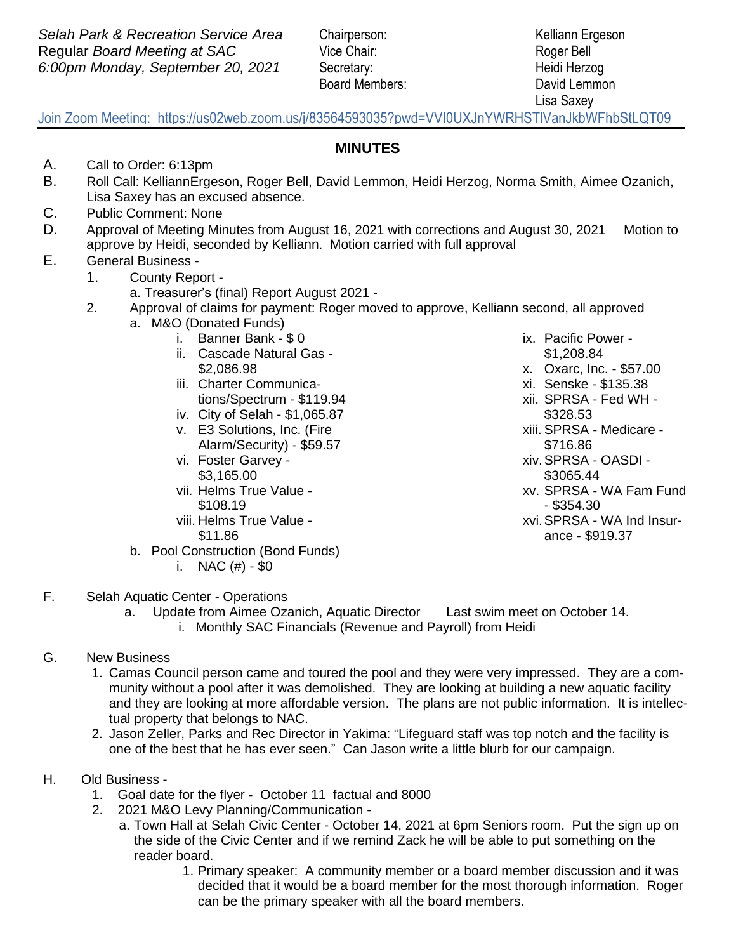Board Members: David Lemmon

Lisa Saxey

## Join Zoom Meeting: https://us02web.zoom.us/j/83564593035?pwd=VVI0UXJnYWRHSTlVanJkbWFhbStLQT09

## **MINUTES**

- A. Call to Order: 6:13pm
- B. Roll Call: KelliannErgeson, Roger Bell, David Lemmon, Heidi Herzog, Norma Smith, Aimee Ozanich, Lisa Saxey has an excused absence.
- C. Public Comment: None
- D. Approval of Meeting Minutes from August 16, 2021 with corrections and August 30, 2021 Motion to approve by Heidi, seconded by Kelliann. Motion carried with full approval
- E. General Business
	- 1. County Report
		- a. Treasurer's (final) Report August 2021 -
	- 2. Approval of claims for payment: Roger moved to approve, Kelliann second, all approved
		- a. M&O (Donated Funds)
			- i. Banner Bank \$ 0
				- ii. Cascade Natural Gas \$2,086.98
				- iii. Charter Communications/Spectrum - \$119.94
				- iv. City of Selah \$1,065.87
				- v. E3 Solutions, Inc. (Fire Alarm/Security) - \$59.57
				- vi. Foster Garvey \$3,165.00
				- vii. Helms True Value \$108.19
				- viii. Helms True Value \$11.86
		- b. Pool Construction (Bond Funds)
			- i. NAC  $(\#) $0$
- ix. Pacific Power \$1,208.84
- x. Oxarc, Inc. \$57.00
- xi. Senske \$135.38
- xii. SPRSA Fed WH \$328.53
- xiii. SPRSA Medicare \$716.86
- xiv.SPRSA OASDI \$3065.44
- xv. SPRSA WA Fam Fund - \$354.30
- xvi.SPRSA WA Ind Insurance - \$919.37

- F. Selah Aquatic Center Operations
	- a. Update from Aimee Ozanich, Aquatic Director Last swim meet on October 14. i. Monthly SAC Financials (Revenue and Payroll) from Heidi
- G. New Business
	- 1. Camas Council person came and toured the pool and they were very impressed. They are a community without a pool after it was demolished. They are looking at building a new aquatic facility and they are looking at more affordable version. The plans are not public information. It is intellectual property that belongs to NAC.
	- 2. Jason Zeller, Parks and Rec Director in Yakima: "Lifeguard staff was top notch and the facility is one of the best that he has ever seen." Can Jason write a little blurb for our campaign.
- H. Old Business
	- 1. Goal date for the flyer October 11 factual and 8000
	- 2. 2021 M&O Levy Planning/Communication
		- a. Town Hall at Selah Civic Center October 14, 2021 at 6pm Seniors room. Put the sign up on the side of the Civic Center and if we remind Zack he will be able to put something on the reader board.
			- 1. Primary speaker: A community member or a board member discussion and it was decided that it would be a board member for the most thorough information. Roger can be the primary speaker with all the board members.